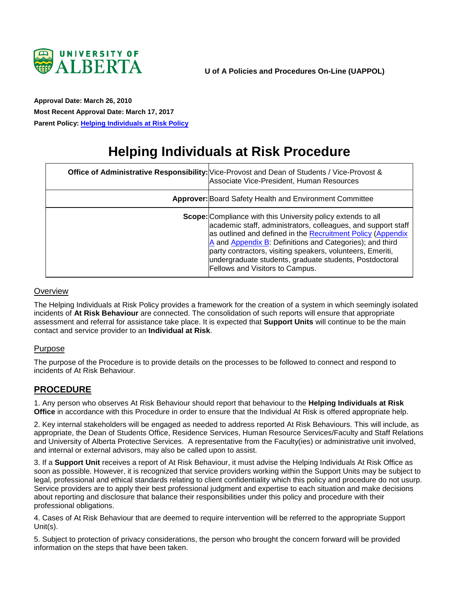

<span id="page-0-0"></span>**Approval Date: March 26, 2010 Most Recent Approval Date: March 17, 2017 Parent Policy: [Helping Individuals at Risk Policy](https://policiesonline.ualberta.ca/policiesprocedures/policies/helping-individuals-at-risk-policy.pdf)**

# **Helping Individuals at Risk Procedure**

| Office of Administrative Responsibility: Vice-Provost and Dean of Students / Vice-Provost &<br>Associate Vice-President, Human Resources                                                                                                                                                                                                                                                                                    |
|-----------------------------------------------------------------------------------------------------------------------------------------------------------------------------------------------------------------------------------------------------------------------------------------------------------------------------------------------------------------------------------------------------------------------------|
| Approver: Board Safety Health and Environment Committee                                                                                                                                                                                                                                                                                                                                                                     |
| <b>Scope:</b> Compliance with this University policy extends to all<br>academic staff, administrators, colleagues, and support staff<br>as outlined and defined in the Recruitment Policy (Appendix<br>A and Appendix B: Definitions and Categories); and third<br>party contractors, visiting speakers, volunteers, Emeriti,<br>undergraduate students, graduate students, Postdoctoral<br>Fellows and Visitors to Campus. |

#### **Overview**

The Helping Individuals at Risk Policy provides a framework for the creation of a system in which seemingly isolated incidents of **At Risk Behaviour** are connected. The consolidation of such reports will ensure that appropriate assessment and referral for assistance take place. It is expected that **Support Units** will continue to be the main contact and service provider to an **Individual at Risk**.

#### Purpose

The purpose of the Procedure is to provide details on the processes to be followed to connect and respond to incidents of At Risk Behaviour.

### **PROCEDURE**

1. Any person who observes At Risk Behaviour should report that behaviour to the **Helping Individuals at Risk Office** in accordance with this Procedure in order to ensure that the Individual At Risk is offered appropriate help.

2. Key internal stakeholders will be engaged as needed to address reported At Risk Behaviours. This will include, as appropriate, the Dean of Students Office, Residence Services, Human Resource Services/Faculty and Staff Relations and University of Alberta Protective Services. A representative from the Faculty(ies) or administrative unit involved, and internal or external advisors, may also be called upon to assist.

3. If a **Support Unit** receives a report of At Risk Behaviour, it must advise the Helping Individuals At Risk Office as soon as possible. However, it is recognized that service providers working within the Support Units may be subject to legal, professional and ethical standards relating to client confidentiality which this policy and procedure do not usurp. Service providers are to apply their best professional judgment and expertise to each situation and make decisions about reporting and disclosure that balance their responsibilities under this policy and procedure with their professional obligations.

4. Cases of At Risk Behaviour that are deemed to require intervention will be referred to the appropriate Support Unit(s).

5. Subject to protection of privacy considerations, the person who brought the concern forward will be provided information on the steps that have been taken.